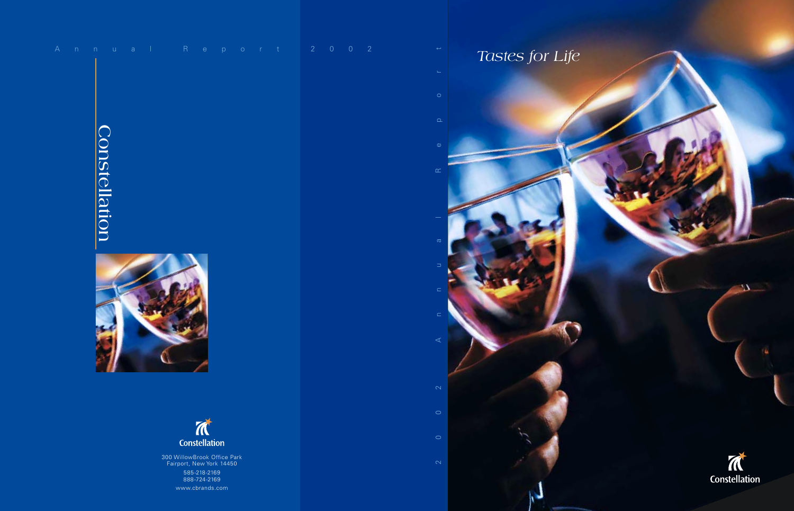|  |               |  | Annual Report 200                                       |                                              |  |  |  |  | $\sim$ 2 |
|--|---------------|--|---------------------------------------------------------|----------------------------------------------|--|--|--|--|----------|
|  |               |  |                                                         |                                              |  |  |  |  |          |
|  |               |  |                                                         |                                              |  |  |  |  |          |
|  |               |  |                                                         |                                              |  |  |  |  |          |
|  |               |  |                                                         |                                              |  |  |  |  |          |
|  |               |  |                                                         |                                              |  |  |  |  |          |
|  |               |  |                                                         |                                              |  |  |  |  |          |
|  |               |  |                                                         |                                              |  |  |  |  |          |
|  | Constellation |  |                                                         |                                              |  |  |  |  |          |
|  |               |  |                                                         |                                              |  |  |  |  |          |
|  |               |  |                                                         |                                              |  |  |  |  |          |
|  |               |  |                                                         |                                              |  |  |  |  |          |
|  |               |  |                                                         |                                              |  |  |  |  |          |
|  |               |  |                                                         |                                              |  |  |  |  |          |
|  |               |  |                                                         |                                              |  |  |  |  |          |
|  |               |  |                                                         |                                              |  |  |  |  |          |
|  |               |  |                                                         |                                              |  |  |  |  |          |
|  |               |  |                                                         |                                              |  |  |  |  |          |
|  |               |  |                                                         | $\overrightarrow{M}$<br><b>Constellation</b> |  |  |  |  |          |
|  |               |  | 300 WillowBrook Office Park<br>Fairport, New York 14450 |                                              |  |  |  |  |          |
|  |               |  |                                                         | 585-218-2169<br>888-724-2169                 |  |  |  |  |          |

www.cbrands.com

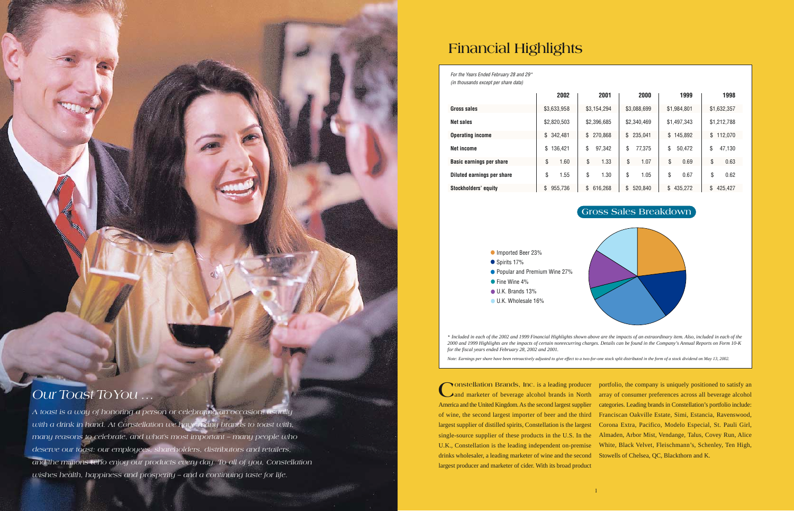# **Financial Highlights**

**Constellation Brands, Inc.** is a leading producer and marketer of beverage alcohol brands in North America and the United Kingdom. As the second largest supplier of wine, the second largest importer of beer and the third largest supplier of distilled spirits, Constellation is the largest single-source supplier of these products in the U.S. In the U.K., Constellation is the leading independent on-premise White, Black Velvet, Fleischmann's, Schenley, Ten High, drinks wholesaler, a leading marketer of wine and the second Stowells of Chelsea, QC, Blackthorn and K. largest producer and marketer of cider. With its broad product

portfolio, the company is uniquely positioned to satisfy an array of consumer preferences across all beverage alcohol categories. Leading brands in Constellation's portfolio include: Franciscan Oakville Estate, Simi, Estancia, Ravenswood, Corona Extra, Pacifico, Modelo Especial, St. Pauli Girl, Almaden, Arbor Mist, Vendange, Talus, Covey Run, Alice

*For the Years Ended February 28 and 29\**

| <i>(in thousands except per share data)</i> |               |               |               |               |               |  |
|---------------------------------------------|---------------|---------------|---------------|---------------|---------------|--|
|                                             | 2002          | 2001          | 2000          | 1999          | 1998          |  |
| Gross sales                                 | \$3,633,958   | \$3,154,294   | \$3,088,699   | \$1,984,801   | \$1,632,357   |  |
| Net sales                                   | \$2,820,503   | \$2,396,685   | \$2,340,469   | \$1,497,343   | \$1,212,788   |  |
| <b>Operating income</b>                     | \$342,481     | 270,868<br>\$ | 235,041<br>\$ | \$145,892     | \$112,070     |  |
| <b>Net income</b>                           | \$<br>136,421 | \$<br>97,342  | \$<br>77,375  | \$<br>50,472  | \$<br>47,130  |  |
| <b>Basic earnings per share</b>             | \$<br>1.60    | \$<br>1.33    | \$<br>1.07    | \$<br>0.69    | \$<br>0.63    |  |
| Diluted earnings per share                  | \$<br>1.55    | \$<br>1.30    | \$<br>1.05    | \$<br>0.67    | \$<br>0.62    |  |
| <b>Stockholders' equity</b>                 | \$<br>955,736 | \$<br>616,268 | \$<br>520,840 | \$<br>435,272 | \$<br>425,427 |  |

Imported Beer 23% ● Spirits 17% ● Popular and Premium Wine 27% ● Fine Wine 4% U.K. Brands 13% U.K. Wholesale 16%

\* *Included in each of the 2002 and 1999 Financial Highlights shown above are the impacts of an extraordinary item. Also, included in each of the 2000 and 1999 Highlights are the impacts of certain nonrecurring charges. Details can be found in the Company's Annual Reports on Form 10-K for the fiscal years ended February 28, 2002 and 2001.*

*Note: Earnings per share have been retroactively adjusted to give effect to a two-for-one stock split distributed in the form of a stock dividend on May 13, 2002.*

# **Gross Sales Breakdown**



# *Our Toast ToYou …*

*A toast is a way of honoring a person or celebrating an occasion, usually with a drink in hand. At Constellation we have many brands to toast with, many reasons to celebrate, and what's most important – many people who deserve our toast: our employees, shareholders, distributors and retailers, and the millions who enjoy our products every day. To all of you, Constellation wishes health, happiness and prosperity – and a continuing taste for life.*

Inside from the former of the first cover of the first cover of the first cover of the first cover of the first cover of the first cover of the first cover of the first cover of the first cover of the first cover of the fi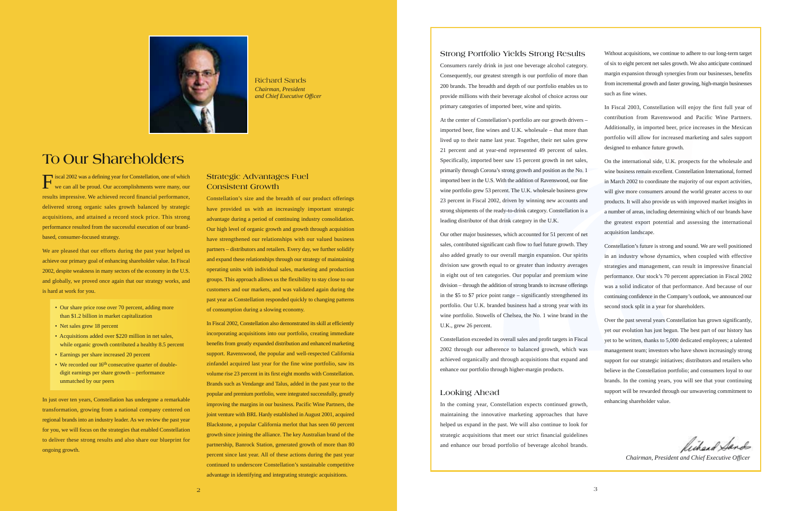

Richard Sands *Chairman, President and Chief Executive Officer*

# **To Our Shareholders**

### **Strong Portfolio Yields Strong Results**

Consumers rarely drink in just one beverage alcohol category. Consequently, our greatest strength is our portfolio of more than 200 brands. The breadth and depth of our portfolio enables us to provide millions with their beverage alcohol of choice across our primary categories of imported beer, wine and spirits.

At the center of Constellation's portfolio are our growth drivers – imported beer, fine wines and U.K. wholesale – that more than lived up to their name last year. Together, their net sales grew 21 percent and at year-end represented 49 percent of sales. Specifically, imported beer saw 15 percent growth in net sales, primarily through Corona's strong growth and position as the No. 1 imported beer in the U.S. With the addition of Ravenswood, our fine wine portfolio grew 53 percent. The U.K. wholesale business grew 23 percent in Fiscal 2002, driven by winning new accounts and strong shipments of the ready-to-drink category. Constellation is a leading distributor of that drink category in the U.K.

Our other major businesses, which accounted for 51 percent of net sales, contributed significant cash flow to fuel future growth. They also added greatly to our overall margin expansion. Our spirits division saw growth equal to or greater than industry averages in eight out of ten categories. Our popular and premium wine division – through the addition of strong brands to increase offerings in the \$5 to \$7 price point range – significantly strengthened its portfolio. Our U.K. branded business had a strong year with its wine portfolio. Stowells of Chelsea, the No. 1 wine brand in the U.K., grew 26 percent.

Constellation exceeded its overall sales and profit targets in Fiscal 2002 through our adherence to balanced growth, which was achieved organically and through acquisitions that expand and enhance our portfolio through higher-margin products.

### **Looking Ahead**

In the coming year, Constellation expects continued growth, maintaining the innovative marketing approaches that have helped us expand in the past. We will also continue to look for strategic acquisitions that meet our strict financial guidelines and enhance our broad portfolio of beverage alcohol brands.

Fiscal 2002 was a defining year for Constellation, one of which<br>we can all be proud. Our accomplishments were many, our results impressive. We achieved record financial performance, delivered strong organic sales growth balanced by strategic acquisitions, and attained a record stock price. This strong performance resulted from the successful execution of our brandbased, consumer-focused strategy.

Without acquisitions, we continue to adhere to our long-term target of six to eight percent net sales growth. We also anticipate continued margin expansion through synergies from our businesses, benefits from incremental growth and faster growing, high-margin businesses such as fine wines.

- Our share price rose over 70 percent, adding more than \$1.2 billion in market capitalization
- Net sales grew 18 percent
- Acquisitions added over \$220 million in net sales, while organic growth contributed a healthy 8.5 percent
- Earnings per share increased 20 percent
- We recorded our 16<sup>th</sup> consecutive quarter of doubledigit earnings per share growth – performance unmatched by our peers

In Fiscal 2003, Constellation will enjoy the first full year of contribution from Ravenswood and Pacific Wine Partners. Additionally, in imported beer, price increases in the Mexican portfolio will allow for increased marketing and sales support designed to enhance future growth.

On the international side, U.K. prospects for the wholesale and wine business remain excellent. Constellation International, formed in March 2002 to coordinate the majority of our export activities, will give more consumers around the world greater access to our products. It will also provide us with improved market insights in a number of areas, including determining which of our brands have the greatest export potential and assessing the international acquisition landscape.

Constellation's future is strong and sound. We are well positioned in an industry whose dynamics, when coupled with effective strategies and management, can result in impressive financial performance. Our stock's 70 percent appreciation in Fiscal 2002 was a solid indicator of that performance. And because of our continuing confidence in the Company's outlook, we announced our second stock split in a year for shareholders.

Over the past several years Constellation has grown significantly, yet our evolution has just begun. The best part of our history has yet to be written, thanks to 5,000 dedicated employees; a talented management team; investors who have shown increasingly strong support for our strategic initiatives; distributors and retailers who believe in the Constellation portfolio; and consumers loyal to our brands. In the coming years, you will see that your continuing support will be rewarded through our unwavering commitment to enhancing shareholder value.

Richard Sands

*Chairman, President and Chief Executive Officer*

We are pleased that our efforts during the past year helped us achieve our primary goal of enhancing shareholder value. In Fiscal 2002, despite weakness in many sectors of the economy in the U.S. and globally, we proved once again that our strategy works, and is hard at work for you.

In just over ten years, Constellation has undergone a remarkable transformation, growing from a national company centered on regional brands into an industry leader. As we review the past year for you, we will focus on the strategies that enabled Constellation to deliver these strong results and also share our blueprint for ongoing growth.

## **Strategic Advantages Fuel Consistent Growth**

Constellation's size and the breadth of our product offerings have provided us with an increasingly important strategic advantage during a period of continuing industry consolidation. Our high level of organic growth and growth through acquisition have strengthened our relationships with our valued business partners – distributors and retailers. Every day, we further solidify and expand these relationships through our strategy of maintaining operating units with individual sales, marketing and production groups. This approach allows us the flexibility to stay close to our customers and our markets, and was validated again during the past year as Constellation responded quickly to changing patterns of consumption during a slowing economy.

In Fiscal 2002, Constellation also demonstrated its skill at efficiently incorporating acquisitions into our portfolio, creating immediate benefits from greatly expanded distribution and enhanced marketing support. Ravenswood, the popular and well-respected California zinfandel acquired last year for the fine wine portfolio, saw its volume rise 23 percent in its first eight months with Constellation. Brands such as Vendange and Talus, added in the past year to the popular and premium portfolio, were integrated successfully, greatly improving the margins in our business. Pacific Wine Partners, the joint venture with BRL Hardy established in August 2001, acquired Blackstone, a popular California merlot that has seen 60 percent growth since joining the alliance. The key Australian brand of the partnership, Banrock Station, generated growth of more than 80 percent since last year. All of these actions during the past year continued to underscore Constellation's sustainable competitive advantage in identifying and integrating strategic acquisitions.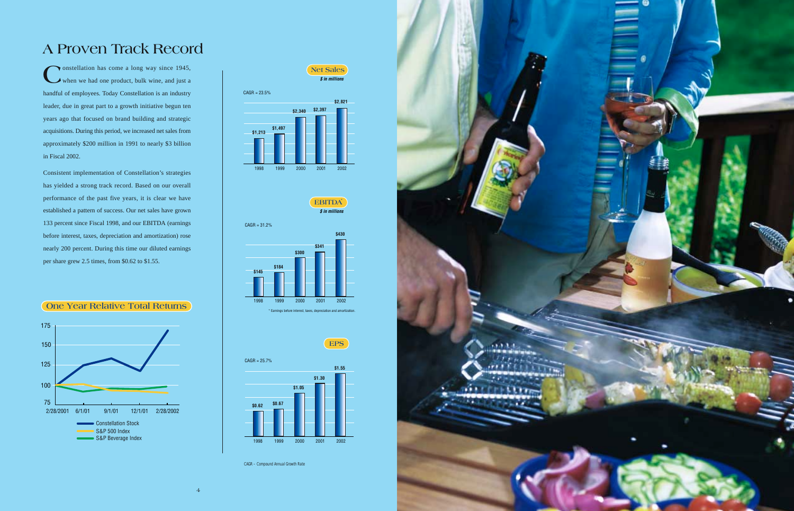**C**onstellation has come a long way since 1945, when we had one product, bulk wine, and just a handful of employees. Today Constellation is an industry leader, due in great part to a growth initiative begun ten years ago that focused on brand building and strategic acquisitions. During this period, we increased net sales from approximately \$200 million in 1991 to nearly \$3 billion in Fiscal 2002.

Consistent implementation of Constellation's strategies has yielded a strong track record. Based on our overall performance of the past five years, it is clear we have established a pattern of success. Our net sales have grown 133 percent since Fiscal 1998, and our EBITDA (earnings before interest, taxes, depreciation and amortization) rose nearly 200 percent. During this time our diluted earnings per share grew 2.5 times, from \$0.62 to \$1.55.









# **A Proven Track Record**



CAGR – Compound Annual Growth Rate

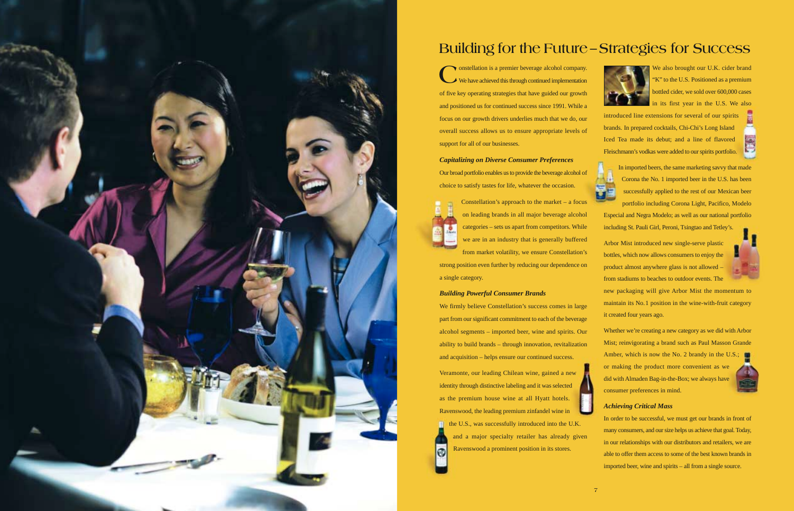**C**onstellation is a premier beverage alcohol company. We have achieved this through continued implementation of five key operating strategies that have guided our growth and positioned us for continued success since 1991. While a focus on our growth drivers underlies much that we do, our overall success allows us to ensure appropriate levels of support for all of our businesses.

*Capitalizing on Diverse Consumer Preferences* Our broad portfolio enables us to provide the beverage alcohol of choice to satisfy tastes for life, whatever the occasion.



Constellation's approach to the market – a focus on leading brands in all major beverage alcohol categories – sets us apart from competitors. While we are in an industry that is generally buffered from market volatility, we ensure Constellation's

strong position even further by reducing our dependence on a single category.

We also brought our U.K. cider brand "K" to the U.S. Positioned as a premium bottled cider, we sold over 600,000 cases in its first year in the U.S. We also

## *Building Powerful Consumer Brands*

We firmly believe Constellation's success comes in large part from our significant commitment to each of the beverage alcohol segments – imported beer, wine and spirits. Our ability to build brands – through innovation, revitalization and acquisition – helps ensure our continued success.

Veramonte, our leading Chilean wine, gained a new identity through distinctive labeling and it was selected as the premium house wine at all Hyatt hotels. Ravenswood, the leading premium zinfandel wine in the U.S., was successfully introduced into the U.K. and a major specialty retailer has already given  $\odot$ Ravenswood a prominent position in its stores.





introduced line extensions for several of our spirits brands. In prepared cocktails, Chi-Chi's Long Island Iced Tea made its debut; and a line of flavored Fleischmann's vodkas were added to our spirits portfolio.



In imported beers, the same marketing savvy that made Corona the No. 1 imported beer in the U.S. has been successfully applied to the rest of our Mexican beer portfolio including Corona Light, Pacifico, Modelo Especial and Negra Modelo; as well as our national portfolio

including St. Pauli Girl, Peroni, Tsingtao and Tetley's.

Arbor Mist introduced new single-serve plastic bottles, which now allows consumers to enjoy the product almost anywhere glass is not allowed – from stadiums to beaches to outdoor events. The

new packaging will give Arbor Mist the momentum to maintain its No.1 position in the wine-with-fruit category it created four years ago.

Whether we're creating a new category as we did with Arbor Mist; reinvigorating a brand such as Paul Masson Grande Amber, which is now the No. 2 brandy in the U.S.; or making the product more convenient as we did with Almaden Bag-in-the-Box; we always have consumer preferences in mind.



## *Achieving Critical Mass*

In order to be successful, we must get our brands in front of many consumers, and our size helps us achieve that goal. Today, in our relationships with our distributors and retailers, we are able to offer them access to some of the best known brands in imported beer, wine and spirits – all from a single source.



# **Building for the Future–Strategies for Success**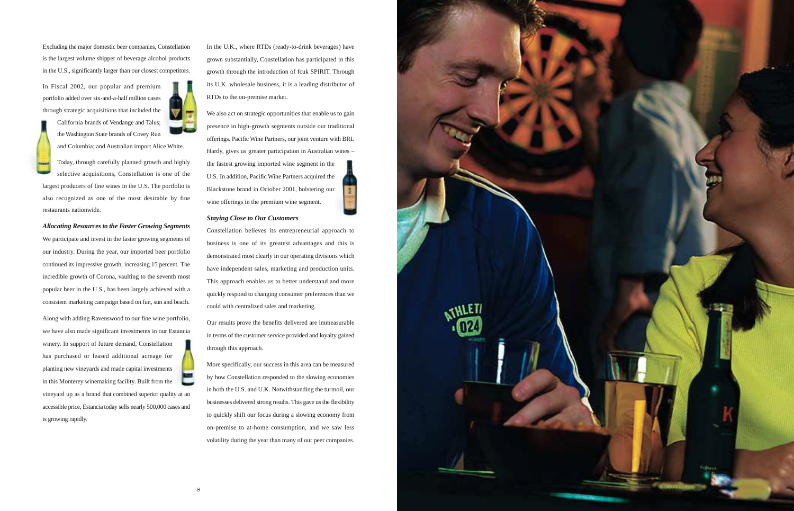Excluding the major domestic beer companies, Constellation is the largest volume shipper of beverage alcohol products in the U.S., significantly larger than our closest competitors.

In Fiscal 2002, our popular and premium portfolio added over six-and-a-half million cases through strategic acquisitions that included the

> California brands of Vendange and Talus; the Washington State brands of Covey Run



and Columbia; and Australian import Alice White.

Today, through carefully planned growth and highly selective acquisitions, Constellation is one of the largest producers of fine wines in the U.S. The portfolio is also recognized as one of the most desirable by fine restaurants nationwide.

### *Allocating Resources to the Faster Growing Segments*

We participate and invest in the faster growing segments of our industry. During the year, our imported beer portfolio continued its impressive growth, increasing 15 percent. The incredible growth of Corona, vaulting to the seventh most popular beer in the U.S., has been largely achieved with a consistent marketing campaign based on fun, sun and beach.

We also act on strategic opportunities that enable us to gain presence in high-growth segments outside our traditional offerings. Pacific Wine Partners, our joint venture with BRL Hardy, gives us greater participation in Australian wines – the fastest growing imported wine segment in the U.S. In addition, Pacific Wine Partners acquired the Blackstone brand in October 2001, bolstering our wine offerings in the premium wine segment.

Along with adding Ravenswood to our fine wine portfolio, we have also made significant investments in our Estancia winery. In support of future demand, Constellation has purchased or leased additional acreage for planting new vineyards and made capital investments in this Monterey winemaking facility. Built from the vineyard up as a brand that combined superior quality at an accessible price, Estancia today sells nearly 500,000 cases and is growing rapidly.

In the U.K., where RTDs (ready-to-drink beverages) have grown substantially, Constellation has participated in this growth through the introduction of fcuk SPIRIT. Through its U.K. wholesale business, it is a leading distributor of RTDs to the on-premise market.

### *Staying Close to Our Customers*

Constellation believes its entrepreneurial approach to business is one of its greatest advantages and this is demonstrated most clearly in our operating divisions which have independent sales, marketing and production units. This approach enables us to better understand and more quickly respond to changing consumer preferences than we could with centralized sales and marketing.

Our results prove the benefits delivered are immeasurable in terms of the customer service provided and loyalty gained through this approach.

More specifically, our success in this area can be measured by how Constellation responded to the slowing economies in both the U.S. and U.K. Notwithstanding the turmoil, our businesses delivered strong results. This gave us the flexibility to quickly shift our focus during a slowing economy from on-premise to at-home consumption, and we saw less volatility during the year than many of our peer companies.

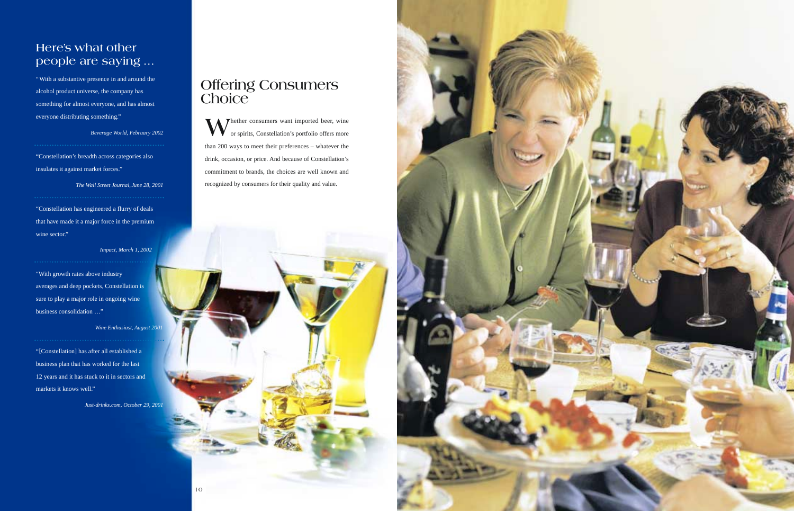



# **Here's what other people are saying …**

"With a substantive presence in and around the alcohol product universe, the company has something for almost everyone, and has almost everyone distributing something."

"Constellation has engineered a flurry of deals that have made it a major force in the premium wine sector."

*Beverage World, February 2002*

"Constellation's breadth across categories also insulates it against market forces."

*The Wall Street Journal, June 28, 2001*

*Impact, March 1, 2002*

"With growth rates above industry averages and deep pockets, Constellation is sure to play a major role in ongoing wine business consolidation …"

**WA** Thether consumers want imported beer, wine or spirits, Constellation's portfolio offers more than 200 ways to meet their preferences – whatever the drink, occasion, or price. And because of Constellation's commitment to brands, the choices are well known and recognized by consumers for their quality and value.

*Wine Enthusiast, August 2001*

"[Constellation] has after all established a business plan that has worked for the last 12 years and it has stuck to it in sectors and markets it knows well."

*Just-drinks.com, October 29, 2001*

# **Offering Consumers Choice**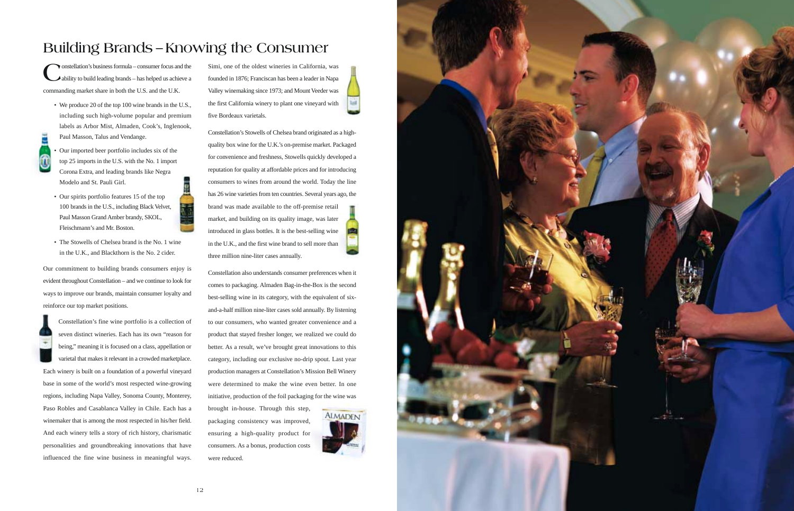# **Building Brands – Knowing the Consumer**

Constellation's business formula – consumer focus and the ability to build leading brands – has helped us achieve a commanding market share in both the U.S. and the U.K.

- We produce 20 of the top 100 wine brands in the U.S., including such high-volume popular and premium labels as Arbor Mist, Almaden, Cook's, Inglenook, Paul Masson, Talus and Vendange.
- - Our imported beer portfolio includes six of the top 25 imports in the U.S. with the No. 1 import Corona Extra, and leading brands like Negra Modelo and St. Pauli Girl.
	- Our spirits portfolio features 15 of the top 100 brands in the U.S., including Black Velvet, Paul Masson Grand Amber brandy, SKOL, Fleischmann's and Mr. Boston.
	- The Stowells of Chelsea brand is the No. 1 wine in the U.K., and Blackthorn is the No. 2 cider.

Our commitment to building brands consumers enjoy is evident throughout Constellation – and we continue to look for ways to improve our brands, maintain consumer loyalty and reinforce our top market positions.

Constellation's fine wine portfolio is a collection of seven distinct wineries. Each has its own "reason for being," meaning it is focused on a class, appellation or varietal that makes it relevant in a crowded marketplace. Each winery is built on a foundation of a powerful vineyard base in some of the world's most respected wine-growing regions, including Napa Valley, Sonoma County, Monterey, Paso Robles and Casablanca Valley in Chile. Each has a winemaker that is among the most respected in his/her field. And each winery tells a story of rich history, charismatic

personalities and groundbreaking innovations that have influenced the fine wine business in meaningful ways.

Simi, one of the oldest wineries in California, was founded in 1876; Franciscan has been a leader in Napa Valley winemaking since 1973; and Mount Veeder was the first California winery to plant one vineyard with five Bordeaux varietals.

Constellation's Stowells of Chelsea brand originated as a highquality box wine for the U.K.'s on-premise market. Packaged for convenience and freshness, Stowells quickly developed a reputation for quality at affordable prices and for introducing consumers to wines from around the world. Today the line has 26 wine varieties from ten countries. Several years ago, the brand was made available to the off-premise retail market, and building on its quality image, was later introduced in glass bottles. It is the best-selling wine in the U.K., and the first wine brand to sell more than three million nine-liter cases annually.

Constellation also understands consumer preferences when it comes to packaging. Almaden Bag-in-the-Box is the second best-selling wine in its category, with the equivalent of sixand-a-half million nine-liter cases sold annually. By listening to our consumers, who wanted greater convenience and a product that stayed fresher longer, we realized we could do better. As a result, we've brought great innovations to this category, including our exclusive no-drip spout. Last year production managers at Constellation's Mission Bell Winery were determined to make the wine even better. In one initiative, production of the foil packaging for the wine was

brought in-house. Through this step, packaging consistency was improved, ensuring a high-quality product for consumers. As a bonus, production costs were reduced.



**Lat** 

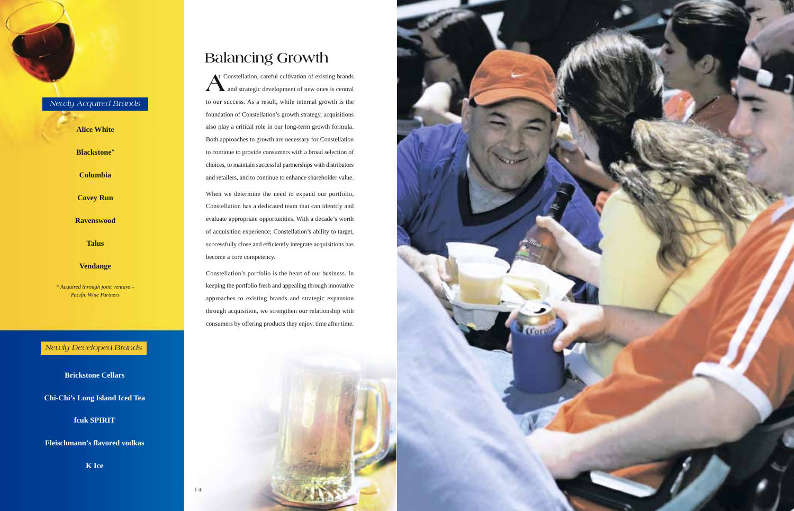A<sup>t</sup> Constellation, careful cultivation of existing brands<br>and strategic development of new ones is central and strategic development of new ones is central to our success. As a result, while internal growth is the foundation of Constellation's growth strategy, acquisitions also play a critical role in our long-term growth formula. Both approaches to growth are necessary for Constellation to continue to provide consumers with a broad selection of choices, to maintain successful partnerships with distributors and retailers, and to continue to enhance shareholder value.

When we determine the need to expand our portfolio, Constellation has a dedicated team that can identify and evaluate appropriate opportunities. With a decade's worth of acquisition experience; Constellation's ability to target, successfully close and efficiently integrate acquisitions has become a core competency.

Constellation's portfolio is the heart of our business. In keeping the portfolio fresh and appealing through innovative approaches to existing brands and strategic expansion through acquisition, we strengthen our relationship with consumers by offering products they enjoy, time after time.





**Brickstone Cellars**

**Chi-Chi's Long Island Iced Tea**

**fcuk SPIRIT**

**Fleischmann's flavored vodkas**

**K Ice**

# *Newly Developed Brands*

14

# *Newly Acquired Brands*

**Alice White**

**Blackstone\***

**Columbia**

**Covey Run**

**Ravenswood**

**Talus**

### **Vendange**

*\* Acquired through joint venture – Pacific Wine Partners*

# **Balancing Growth**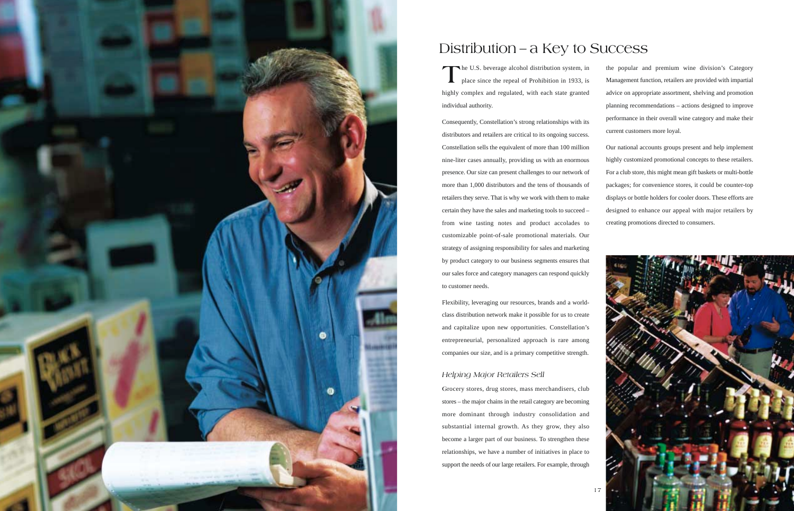

# Distribution – a Key to Success

The U.S. beverage alcohol distribution system, in place since the repeal of Prohibition in 1933, is highly complex and regulated, with each state granted individual authority.

Consequently, Constellation's strong relationships with its distributors and retailers are critical to its ongoing success. Constellation sells the equivalent of more than 100 million nine-liter cases annually, providing us with an enormous presence. Our size can present challenges to our network of more than 1,000 distributors and the tens of thousands of retailers they serve. That is why we work with them to make certain they have the sales and marketing tools to succeed – from wine tasting notes and product accolades to customizable point-of-sale promotional materials. Our strategy of assigning responsibility for sales and marketing by product category to our business segments ensures that our sales force and category managers can respond quickly to customer needs.

Flexibility, leveraging our resources, brands and a worldclass distribution network make it possible for us to create and capitalize upon new opportunities. Constellation's entrepreneurial, personalized approach is rare among companies our size, and is a primary competitive strength.

## *Helping Major Retailers Sell*

**G**rocery stores, drug stores, mass merchandisers, club stores – the major chains in the retail category are becoming more dominant through industry consolidation and substantial internal growth. As they grow, they also become a larger part of our business. To strengthen these relationships, we have a number of initiatives in place to support the needs of our large retailers. For example, through

the popular and premium wine division's Category Management function, retailers are provided with impartial advice on appropriate assortment, shelving and promotion planning recommendations – actions designed to improve performance in their overall wine category and make their current customers more loyal.

Our national accounts groups present and help implement highly customized promotional concepts to these retailers. For a club store, this might mean gift baskets or multi-bottle packages; for convenience stores, it could be counter-top displays or bottle holders for cooler doors. These efforts are designed to enhance our appeal with major retailers by creating promotions directed to consumers.

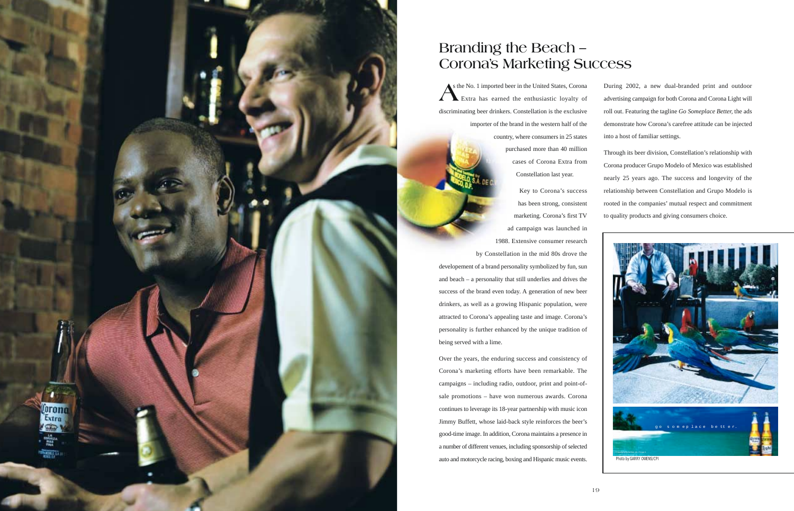**A**s the No. 1 imported beer in the United States, Corona Extra has earned the enthusiastic loyalty of discriminating beer drinkers. Constellation is the exclusive importer of the brand in the western half of the country, where consumers in 25 states purchased more than 40 million cases of Corona Extra from Constellation last year.

> Key to Corona's success has been strong, consistent marketing. Corona's first TV ad campaign was launched in 1988. Extensive consumer research

by Constellation in the mid 80s drove the developement of a brand personality symbolized by fun, sun and beach – a personality that still underlies and drives the success of the brand even today. A generation of new beer drinkers, as well as a growing Hispanic population, were attracted to Corona's appealing taste and image. Corona's personality is further enhanced by the unique tradition of being served with a lime.

Over the years, the enduring success and consistency of Corona's marketing efforts have been remarkable. The campaigns – including radio, outdoor, print and point-ofsale promotions – have won numerous awards. Corona continues to leverage its 18-year partnership with music icon Jimmy Buffett, whose laid-back style reinforces the beer's good-time image. In addition, Corona maintains a presence in a number of different venues, including sponsorship of selected auto and motorcycle racing, boxing and Hispanic music events.

Lorono Extra

During 2002, a new dual-branded print and outdoor advertising campaign for both Corona and Corona Light will roll out. Featuring the tagline *Go Someplace Better,* the ads demonstrate how Corona's carefree attitude can be injected into a host of familiar settings.

Through its beer division, Constellation's relationship with Corona producer Grupo Modelo of Mexico was established nearly 25 years ago. The success and longevity of the relationship between Constellation and Grupo Modelo is rooted in the companies' mutual respect and commitment to quality products and giving consumers choice.

# **Branding the Beach – Corona's Marketing Success**

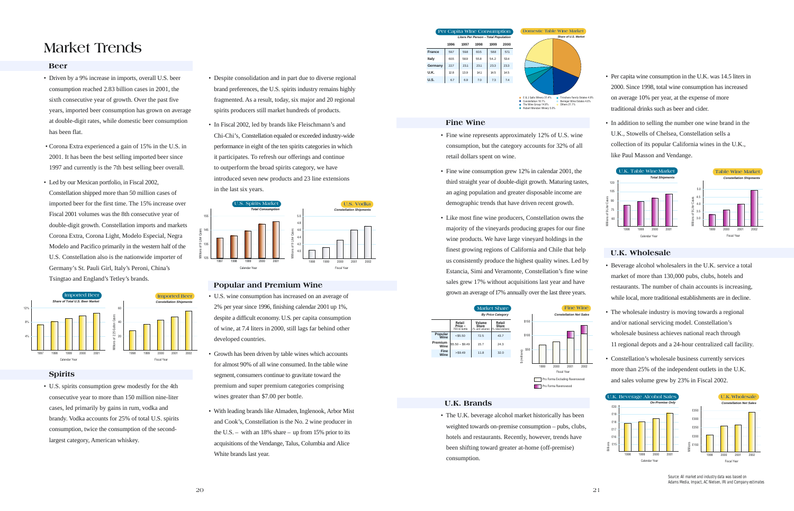### **Beer**

- Driven by a 9% increase in imports, overall U.S. beer consumption reached 2.83 billion cases in 2001, the sixth consecutive year of growth. Over the past five years, imported beer consumption has grown on average at double-digit rates, while domestic beer consumption has been flat.
- Corona Extra experienced a gain of 15% in the U.S. in 2001. It has been the best selling imported beer since 1997 and currently is the 7th best selling beer overall.
- Led by our Mexican portfolio, in Fiscal 2002, Constellation shipped more than 50 million cases of imported beer for the first time. The 15% increase over Fiscal 2001 volumes was the 8th consecutive year of double-digit growth. Constellation imports and markets Corona Extra, Corona Light, Modelo Especial, Negra Modelo and Pacifico primarily in the western half of the U.S. Constellation also is the nationwide importer of Germany's St. Pauli Girl, Italy's Peroni, China's Tsingtao and England's Tetley's brands.

### **Spirits**

• U.S. spirits consumption grew modestly for the 4th consecutive year to more than 150 million nine-liter cases, led primarily by gains in rum, vodka and brandy. Vodka accounts for 25% of total U.S. spirits consumption, twice the consumption of the secondlargest category, American whiskey.

- Despite consolidation and in part due to diverse regional brand preferences, the U.S. spirits industry remains highly fragmented. As a result, today, six major and 20 regional spirits producers still market hundreds of products.
- In Fiscal 2002, led by brands like Fleischmann's and Chi-Chi's, Constellation equaled or exceeded industry-wide performance in eight of the ten spirits categories in which it participates. To refresh our offerings and continue to outperform the broad spirits category, we have introduced seven new products and 23 line extensions in the last six years.

### **Popular and Premium Wine**

- U.S. wine consumption has increased on an average of 2% per year since 1996, finishing calendar 2001 up 1%, despite a difficult economy. U.S. per capita consumption of wine, at 7.4 liters in 2000, still lags far behind other developed countries.
- Growth has been driven by table wines which accounts for almost 90% of all wine consumed. In the table wine segment, consumers continue to gravitate toward the premium and super premium categories comprising wines greater than \$7.00 per bottle.
- With leading brands like Almaden, Inglenook, Arbor Mist and Cook's, Constellation is the No. 2 wine producer in the U.S. – with an 18% share – up from 15% prior to its acquisitions of the Vendange, Talus, Columbia and Alice White brands last year.



# **Market Trends**

### **Fine Wine**

• Fine wine represents approximately 12% of U.S. wine consumption, but the category accounts for 32% of all retail dollars spent on wine.

■ Robert Mondavi Winery 5.0%

E & J Gallo Winery 31.4% Constellation 18.1% Trinchero Family Estates 4.9% Beringer Wine Estates 4.6% Others  $21.1%$ 

- Fine wine consumption grew 12% in calendar 2001, the third straight year of double-digit growth. Maturing tastes, an aging population and greater disposable income are demographic trends that have driven recent growth.
- Like most fine wine producers, Constellation owns the majority of the vineyards producing grapes for our fine wine products. We have large vineyard holdings in the finest growing regions of California and Chile that help us consistently produce the highest quality wines. Led by Estancia, Simi and Veramonte, Constellation's fine wine sales grew 17% without acquisitions last year and have grown an average of17% annually over the last three years.

### **U.K. Brands**

• The U.K. beverage alcohol market historically has been weighted towards on-premise consumption – pubs, clubs, hotels and restaurants. Recently, however, trends have been shifting toward greater at-home (off-premise) consumption.

- Per capita wine consumption in the U.K. was 14.5 liters in 2000. Since 1998, total wine consumption has increased on average 10% per year, at the expense of more traditional drinks such as beer and cider.
- In addition to selling the number one wine brand in the U.K., Stowells of Chelsea, Constellation sells a collection of its popular California wines in the U.K., like Paul Masson and Vendange.

## **U.K. Wholesale**

- Beverage alcohol wholesalers in the U.K. service a total market of more than 130,000 pubs, clubs, hotels and restaurants. The number of chain accounts is increasing, while local, more traditional establishments are in decline.
- The wholesale industry is moving towards a regional and/or national servicing model. Constellation's wholesale business achieves national reach through 11 regional depots and a 24-hour centralized call facility.
- Constellation's wholesale business currently services more than 25% of the independent outlets in the U.K. and sales volume grew by 23% in Fiscal 2002.













Source: All market and industry data was based on Adams Media, Impact, AC Nielsen, IRI and Company estimates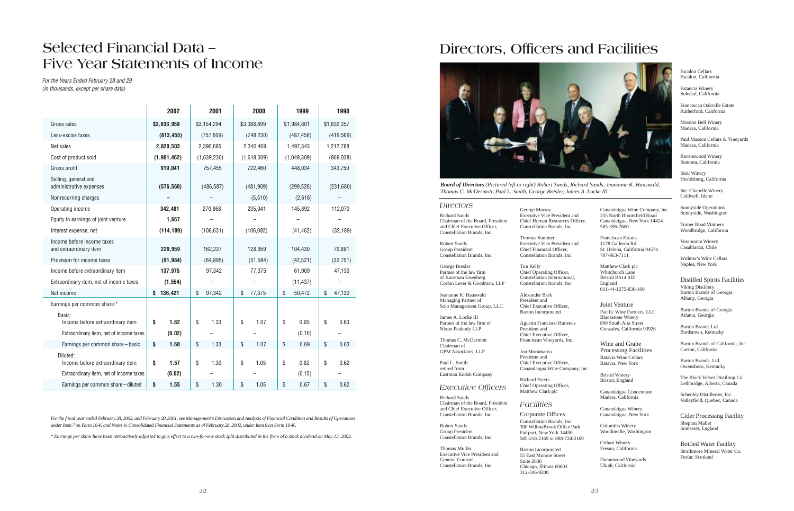|                                                      | 2002          | 2001         | 2000         | 1999         | 1998         |  |
|------------------------------------------------------|---------------|--------------|--------------|--------------|--------------|--|
| Gross sales                                          | \$3,633,958   | \$3,154,294  | \$3,088,699  | \$1,984,801  | \$1,632,357  |  |
| Less-excise taxes                                    | (813, 455)    | (757, 609)   | (748, 230)   | (487, 458)   | (419, 569)   |  |
| Net sales                                            | 2,820,503     | 2,396,685    | 2,340,469    | 1,497,343    | 1,212,788    |  |
| Cost of product sold                                 | (1, 901, 462) | (1,639,230)  | (1,618,009)  | (1,049,309)  | (869, 038)   |  |
| Gross profit                                         | 919,041       | 757,455      | 722,460      | 448,034      | 343,750      |  |
| Selling, general and<br>administrative expenses      | (576, 560)    | (486, 587)   | (481, 909)   | (299, 526)   | (231, 680)   |  |
| Nonrecurring charges                                 |               |              | (5,510)      | (2,616)      |              |  |
| Operating income                                     | 342,481       | 270,868      | 235,041      | 145,892      | 112,070      |  |
| Equity in earnings of joint venture                  | 1,667         |              |              |              |              |  |
| Interest expense, net                                | (114, 189)    | (108, 631)   | (106, 082)   | (41, 462)    | (32, 189)    |  |
| Income before income taxes<br>and extraordinary item | 229,959       | 162,237      | 128,959      | 104,430      | 79,881       |  |
| Provision for income taxes                           | (91, 984)     | (64, 895)    | (51, 584)    | (42, 521)    | (32, 751)    |  |
| Income before extraordinary item                     | 137,975       | 97,342       | 77,375       | 61,909       | 47,130       |  |
| Extraordinary item, net of income taxes              | (1, 554)      |              |              | (11, 437)    |              |  |
| Net income                                           | 136,421<br>\$ | \$<br>97,342 | \$<br>77,375 | \$<br>50,472 | \$<br>47,130 |  |
| Earnings per common share:*                          |               |              |              |              |              |  |
| Basic:<br>Income before extraordinary item           | \$<br>1.62    | \$<br>1.33   | \$<br>1.07   | \$<br>0.85   | \$<br>0.63   |  |
| Extraordinary item, net of income taxes              | (0.02)        |              |              | (0.16)       |              |  |
| Earnings per common share - basic                    | 1.60<br>\$    | \$<br>1.33   | \$<br>1.07   | \$<br>0.69   | \$<br>0.63   |  |
| Diluted:<br>Income before extraordinary item         | \$<br>1.57    | \$<br>1.30   | \$<br>1.05   | \$<br>0.82   | 0.62<br>\$   |  |
| Extraordinary item, net of income taxes              | (0.02)        |              |              | (0.15)       |              |  |
| Earnings per common share - diluted                  | \$<br>1.55    | \$<br>1.30   | \$<br>1.05   | \$<br>0.67   | \$<br>0.62   |  |

*For the fiscal year ended February 28, 2002, and February 28,2001, see Management's Discussion and Analysis of Financial Condition and Results of Operations under Item 7 on Form 10-K and Notes to Consolidated Financial Statements as of February 28, 2002, under Item 8 on Form 10-K.*

\**Earnings per share have been retroactively adjusted to give effect to a two-for-one stock split distributed in the form of a stock dividend on May 13, 2002.*

# **Selected Financial Data – Five Year Statements of Income**

*For the Years Ended February 28 and 29 (in thousands, except per share data)*

### *Directors*

Richard Sands Chairman of the Board, President and Chief Executive Officer, Constellation Brands, Inc.

Robert Sands Group President Constellation Brands, Inc.

George Bresler Partner of the law firm of Kurzman Eisenberg Corbin Lever & Goodman, LLP

Jeananne K. Hauswald Managing Partner of Solo Management Group, LLC

James A. Locke III Partner of the law firm of Nixon Peabody LLP

Thomas C. McDermott Chairman of GPM Associates, LLP

Paul L. Smith retired from Eastman Kodak Company

*Executive Officers*

Richard Sands Chairman of the Board, President and Chief Executive Officer, Constellation Brands, Inc.

Robert Sands Group President Constellation Brands, Inc.

Thomas Mullin Executive Vice President and General Counsel, Constellation Brands, Inc.

George Murray Executive Vice President and Chief Human Resources Officer, Constellation Brands, Inc.

Thomas Summer Executive Vice President and Chief Financial Officer, Constellation Brands, Inc.

Tim Kelly Chief Operating Officer, Constellation International, Constellation Brands, Inc.

Alexander Berk President and Chief Executive Officer, Barton Incorporated

Agustin Francisco Huneeus President and Chief Executive Officer, Franciscan Vineyards, Inc.

Jon Moramarco President and Chief Executive Officer, Canandaigua Wine Company, Inc.

Richard Peters Chief Operating Officer, Matthew Clark plc

*Facilities*

Corporate Offices Constellation Brands, Inc. 300 WillowBrook Office Park Fairport, New York 14450 585-218-2169 or 888-724-2169

Barton Incorporated 55 East Monroe Street Suite 2600 Chicago, Illinois 60603 312-346-9200

Canandaigua Wine Company, Inc. 235 North Bloomfield Road Canandaigua, New York 14424 585-396-7600

Franciscan Estates 1178 Galleron Rd. St. Helena, California 94574 707-963-7111

Matthew Clark plc Whitchurch Lane Bristol BS14 0JZ England 011-44-1275-836-100

Joint Venture Pacific Wine Partners, LLC Blackstone Winery 800 South Alta Street Gonzales, California 93926

Wine and Grape Processing Facilities Batavia Wine Cellars Batavia, New York

Bristol Winery Bristol, England

Canandaigua Concentrate Madera, California

Canandaigua Winery Canandaigua, New York

Columbia Winery Woodinville, Washington

Cribari Winery Fresno, California

Dunnewood Vineyards Ukiah, California

Escalon Cellars Escalon, California

Estancia Winery Soledad, California

Franciscan Oakville Estate Rutherford, California

Mission Bell Winery Madera, California

Paul Masson Cellars & Vineyards Madera, California

Ravenswood Winery Sonoma, California

Simi Winery Healdsburg, California

Ste. Chapelle Winery Caldwell, Idaho

Sunnyside Operations Sunnyside, Washington

Turner Road Vintners Woodbridge, California

Veramonte Winery Casablanca, Chile

Widmer's Wine Cellars Naples, New York

### Distilled Spirits Facilities Viking Distillery

Barton Brands of Georgia Albany, Georgia

Barton Brands of Georgia Atlanta, Georgia

Barton Brands Ltd. Bardstown, Kentucky

Barton Brands of California, Inc. Carson, California

Barton Brands, Ltd. Owensboro, Kentucky

The Black Velvet Distilling Co. Lethbridge, Alberta, Canada

Schenley Distilleries, Inc. Valleyfield, Quebec, Canada

Cider Processing Facility Shepton Mallet Somerset, England

Bottled Water Facility Strathmore Mineral Water Co. Forfar, Scotland

# **Directors, Officers and Facilities**



*Board of Directors (Pictured left to right) Robert Sands, Richard Sands, Jeananne K. Hauswald, Thomas C. McDermott, Paul L. Smith, George Bresler, James A. Locke III*